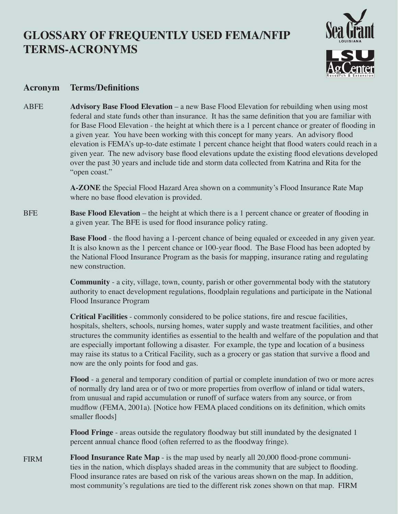## **GLOSSARY OF FREQUENTLY USED FEMA/NFIP TERMS-ACRONYMS**



## **Acronym Terms/Definitions**

ABFE **Advisory Base Flood Elevation** – a new Base Flood Elevation for rebuilding when using most federal and state funds other than insurance. It has the same definition that you are familiar with for Base Flood Elevation - the height at which there is a 1 percent chance or greater of flooding in a given year. You have been working with this concept for many years. An advisory flood elevation is FEMA's up-to-date estimate 1 percent chance height that flood waters could reach in a given year. The new advisory base flood elevations update the existing flood elevations developed over the past 30 years and include tide and storm data collected from Katrina and Rita for the "open coast."

> **A-ZONE** the Special Flood Hazard Area shown on a community's Flood Insurance Rate Map where no base flood elevation is provided.

**BFE Base Flood Elevation** – the height at which there is a 1 percent chance or greater of flooding in a given year. The BFE is used for flood insurance policy rating.

> **Base Flood** - the flood having a 1-percent chance of being equaled or exceeded in any given year. It is also known as the 1 percent chance or 100-year flood. The Base Flood has been adopted by the National Flood Insurance Program as the basis for mapping, insurance rating and regulating new construction.

> **Community** - a city, village, town, county, parish or other governmental body with the statutory authority to enact development regulations, floodplain regulations and participate in the National Flood Insurance Program

**Critical Facilities** - commonly considered to be police stations, fire and rescue facilities, hospitals, shelters, schools, nursing homes, water supply and waste treatment facilities, and other structures the community identifies as essential to the health and welfare of the population and that are especially important following a disaster. For example, the type and location of a business may raise its status to a Critical Facility, such as a grocery or gas station that survive a flood and now are the only points for food and gas.

**Flood** - a general and temporary condition of partial or complete inundation of two or more acres of normally dry land area or of two or more properties from overflow of inland or tidal waters, from unusual and rapid accumulation or runoff of surface waters from any source, or from mudflow (FEMA, 2001a). [Notice how FEMA placed conditions on its definition, which omits smaller floods]

**Flood Fringe** - areas outside the regulatory floodway but still inundated by the designated 1 percent annual chance flood (often referred to as the floodway fringe).

**Flood Insurance Rate Map** - is the map used by nearly all 20,000 flood-prone communities in the nation, which displays shaded areas in the community that are subject to flooding. Flood insurance rates are based on risk of the various areas shown on the map. In addition, most community's regulations are tied to the different risk zones shown on that map. FIRM FIRM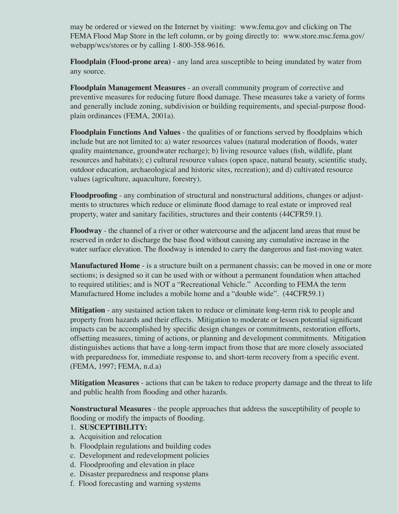may be ordered or viewed on the Internet by visiting: www.fema.gov and clicking on The FEMA Flood Map Store in the left column, or by going directly to: www.store.msc.fema.gov/ webapp/wcs/stores or by calling 1-800-358-9616.

**Floodplain (Flood-prone area)** - any land area susceptible to being inundated by water from any source.

**Floodplain Management Measures** - an overall community program of corrective and preventive measures for reducing future flood damage. These measures take a variety of forms and generally include zoning, subdivision or building requirements, and special-purpose floodplain ordinances (FEMA, 2001a).

**Floodplain Functions And Values** - the qualities of or functions served by floodplains which include but are not limited to: a) water resources values (natural moderation of floods, water quality maintenance, groundwater recharge); b) living resource values (fish, wildlife, plant resources and habitats); c) cultural resource values (open space, natural beauty, scientific study, outdoor education, archaeological and historic sites, recreation); and d) cultivated resource values (agriculture, aquaculture, forestry).

**Floodproofing** - any combination of structural and nonstructural additions, changes or adjustments to structures which reduce or eliminate flood damage to real estate or improved real property, water and sanitary facilities, structures and their contents (44CFR59.1).

**Floodway** - the channel of a river or other watercourse and the adjacent land areas that must be reserved in order to discharge the base flood without causing any cumulative increase in the water surface elevation. The floodway is intended to carry the dangerous and fast-moving water.

**Manufactured Home** - is a structure built on a permanent chassis; can be moved in one or more sections; is designed so it can be used with or without a permanent foundation when attached to required utilities; and is NOT a "Recreational Vehicle." According to FEMA the term Manufactured Home includes a mobile home and a "double wide". (44CFR59.1)

**Mitigation** - any sustained action taken to reduce or eliminate long-term risk to people and property from hazards and their effects. Mitigation to moderate or lessen potential significant impacts can be accomplished by specific design changes or commitments, restoration efforts, offsetting measures, timing of actions, or planning and development commitments. Mitigation distinguishes actions that have a long-term impact from those that are more closely associated with preparedness for, immediate response to, and short-term recovery from a specific event. (FEMA, 1997; FEMA, n.d.a)

**Mitigation Measures** - actions that can be taken to reduce property damage and the threat to life and public health from flooding and other hazards.

**Nonstructural Measures** - the people approaches that address the susceptibility of people to flooding or modify the impacts of flooding.

- 1. **SUSCEPTIBILITY:**
- a. Acquisition and relocation
- b. Floodplain regulations and building codes
- c. Development and redevelopment policies
- d. Floodproofing and elevation in place
- e. Disaster preparedness and response plans
- f. Flood forecasting and warning systems